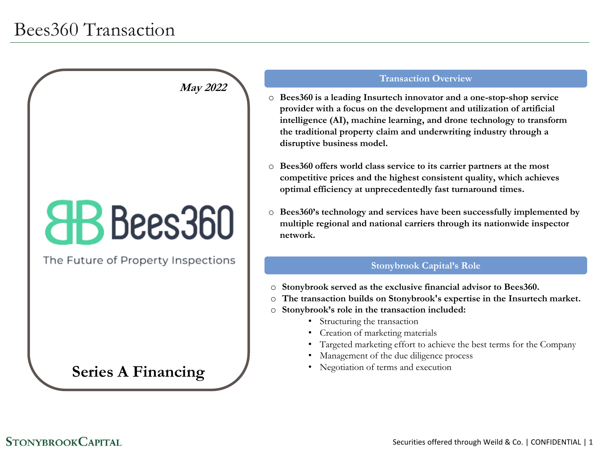# **CHB** Bees360

**May 2022**

The Future of Property Inspections

### **Series A Financing**

#### **Transaction Overview**

- o **Bees360 is a leading Insurtech innovator and a one-stop-shop service provider with a focus on the development and utilization of artificial intelligence (AI), machine learning, and drone technology to transform the traditional property claim and underwriting industry through a disruptive business model.**
- o **Bees360 offers world class service to its carrier partners at the most competitive prices and the highest consistent quality, which achieves optimal efficiency at unprecedentedly fast turnaround times.**
- o **Bees360's technology and services have been successfully implemented by multiple regional and national carriers through its nationwide inspector network.**

#### **Stonybrook Capital's Role**

- o **Stonybrook served as the exclusive financial advisor to Bees360.**
- o **The transaction builds on Stonybrook's expertise in the Insurtech market.**
- o **Stonybrook's role in the transaction included:**
	- Structuring the transaction
	- Creation of marketing materials
	- Targeted marketing effort to achieve the best terms for the Company
	- Management of the due diligence process
	- Negotiation of terms and execution

#### **STONYBROOK CAPITAL**